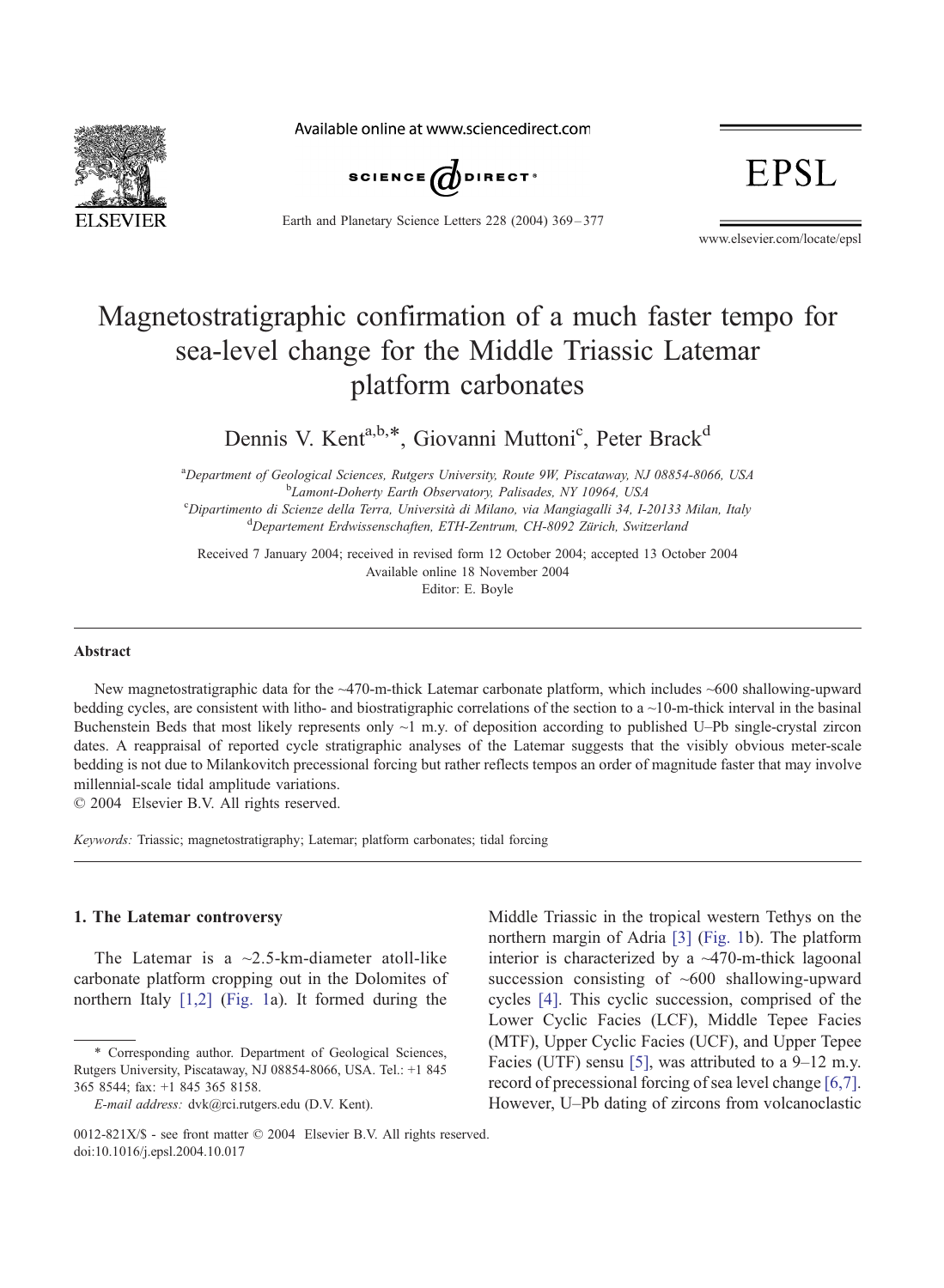

Available online at www.sciencedirect.com



Earth and Planetary Science Letters 228 (2004) 369 – 377

**EPSL** 

www.elsevier.com/locate/epsl

# Magnetostratigraphic confirmation of a much faster tempo for sea-level change for the Middle Triassic Latemar platform carbonates

Dennis V. Kent<sup>a,b,\*</sup>, Giovanni Muttoni<sup>c</sup>, Peter Brack<sup>d</sup>

<sup>a</sup>Department of Geological Sciences, Rutgers University, Route 9W, Piscataway, NJ 08854-8066, USA <sup>b</sup> Lamont-Doherty Earth Observatory, Palisades, NY 10964, USA<br><sup>e</sup> Dinartimento di Scienze della Terra, Università di Milano, via Mangiagalli 34, L<sup>o</sup> <sup>c</sup>Dipartimento di Scienze della Terra, Università di Milano, via Mangiagalli 34, I-20133 Milan, Italy  $P^d$ Departement Erdwissenschaften, ETH-Zentrum, CH-8092 Zürich, Switzerland

Received 7 January 2004; received in revised form 12 October 2004; accepted 13 October 2004 Editor: E. Boyle Available online 18 November 2004

#### Abstract

New magnetostratigraphic data for the ~470-m-thick Latemar carbonate platform, which includes ~600 shallowing-upward bedding cycles, are consistent with litho- and biostratigraphic correlations of the section to a ~10-m-thick interval in the basinal Buchenstein Beds that most likely represents only  $\sim$ 1 m.y. of deposition according to published U–Pb single-crystal zircon dates. A reappraisal of reported cycle stratigraphic analyses of the Latemar suggests that the visibly obvious meter-scale bedding is not due to Milankovitch precessional forcing but rather reflects tempos an order of magnitude faster that may involve millennial-scale tidal amplitude variations.

 $\odot$  2004 Elsevier B.V. All rights reserved.

Keywords: Triassic; magnetostratigraphy; Latemar; platform carbonates; tidal forcing

#### 1. The Latemar controversy

The Latemar is a  $\sim$ 2.5-km-diameter atoll-like carbonate platform cropping out in the Dolomites of northern Italy [\[1,2\]](#page-7-0) ([Fig. 1a](#page-1-0)). It formed during the

<sup>\*</sup> Corresponding author. Department of Geological Sciences, Rutgers University, Piscataway, NJ 08854-8066, USA. Tel.: +1 845 365 8544; fax: +1 845 365 8158.

E-mail address: dvk@rci.rutgers.edu (D.V. Kent).

Middle Triassic in the tropical western Tethys on the northern margin of Adria [\[3\]](#page-7-0) ([Fig. 1b](#page-1-0)). The platform interior is characterized by a  $~470$ -m-thick lagoonal succession consisting of  $~600$  shallowing-upward cycles [\[4\].](#page-7-0) This cyclic succession, comprised of the Lower Cyclic Facies (LCF), Middle Tepee Facies (MTF), Upper Cyclic Facies (UCF), and Upper Tepee Facies (UTF) sensu [\[5\],](#page-7-0) was attributed to a 9–12 m.y. record of precessional forcing of sea level change [\[6,7\].](#page-7-0) However, U–Pb dating of zircons from volcanoclastic

<sup>0012-821</sup> $X/S$  - see front matter  $\odot$  2004 Elsevier B.V. All rights reserved. doi:10.1016/j.epsl.2004.10.017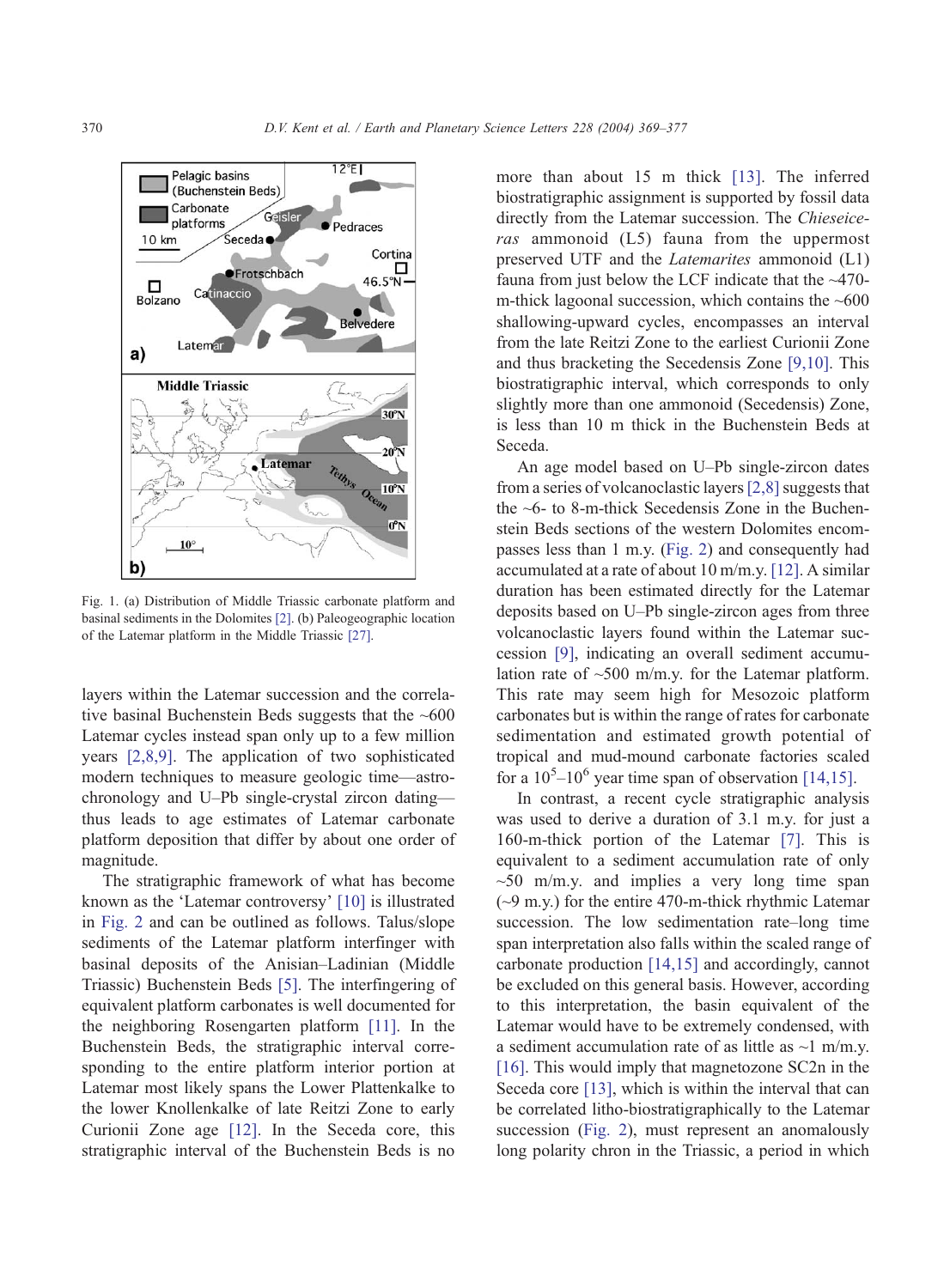<span id="page-1-0"></span>

Fig. 1. (a) Distribution of Middle Triassic carbonate platform and basinal sediments in the Dolomites [\[2\].](#page-7-0) (b) Paleogeographic location of the Latemar platform in the Middle Triassic [\[27\].](#page-8-0)

layers within the Latemar succession and the correlative basinal Buchenstein Beds suggests that the  $~600$ Latemar cycles instead span only up to a few million years [\[2,8,9\].](#page-7-0) The application of two sophisticated modern techniques to measure geologic time—astrochronology and U–Pb single-crystal zircon dating thus leads to age estimates of Latemar carbonate platform deposition that differ by about one order of magnitude.

The stratigraphic framework of what has become known as the 'Latemar controversy'  $[10]$  is illustrated in [Fig. 2](#page-2-0) and can be outlined as follows. Talus/slope sediments of the Latemar platform interfinger with basinal deposits of the Anisian–Ladinian (Middle Triassic) Buchenstein Beds [\[5\].](#page-7-0) The interfingering of equivalent platform carbonates is well documented for the neighboring Rosengarten platform [\[11\].](#page-7-0) In the Buchenstein Beds, the stratigraphic interval corresponding to the entire platform interior portion at Latemar most likely spans the Lower Plattenkalke to the lower Knollenkalke of late Reitzi Zone to early Curionii Zone age [\[12\].](#page-7-0) In the Seceda core, this stratigraphic interval of the Buchenstein Beds is no

more than about 15 m thick [\[13\].](#page-7-0) The inferred biostratigraphic assignment is supported by fossil data directly from the Latemar succession. The Chieseiceras ammonoid (L5) fauna from the uppermost preserved UTF and the Latemarites ammonoid (L1) fauna from just below the LCF indicate that the ~470 m-thick lagoonal succession, which contains the  $~600$ shallowing-upward cycles, encompasses an interval from the late Reitzi Zone to the earliest Curionii Zone and thus bracketing the Secedensis Zone [\[9,10\].](#page-7-0) This biostratigraphic interval, which corresponds to only slightly more than one ammonoid (Secedensis) Zone, is less than 10 m thick in the Buchenstein Beds at Seceda.

An age model based on U–Pb single-zircon dates from a series of volcanoclastic layers  $[2,8]$  suggests that the  $\sim$ 6- to 8-m-thick Secedensis Zone in the Buchenstein Beds sections of the western Dolomites encompasses less than 1 m.y. ([Fig. 2\)](#page-2-0) and consequently had accumulated at a rate of about 10 m/m.y. [\[12\].](#page-7-0) A similar duration has been estimated directly for the Latemar deposits based on U–Pb single-zircon ages from three volcanoclastic layers found within the Latemar succession [\[9\],](#page-7-0) indicating an overall sediment accumulation rate of  $\sim$ 500 m/m.y. for the Latemar platform. This rate may seem high for Mesozoic platform carbonates but is within the range of rates for carbonate sedimentation and estimated growth potential of tropical and mud-mound carbonate factories scaled for a  $10^5 - 10^6$  year time span of observation [\[14,15\].](#page-8-0)

In contrast, a recent cycle stratigraphic analysis was used to derive a duration of 3.1 m.y. for just a 160-m-thick portion of the Latemar [\[7\].](#page-7-0) This is equivalent to a sediment accumulation rate of only  $\sim$ 50 m/m.y. and implies a very long time span  $({\sim}9 \text{ m.y.})$  for the entire 470-m-thick rhythmic Latemar succession. The low sedimentation rate–long time span interpretation also falls within the scaled range of carbonate production [\[14,15\]](#page-8-0) and accordingly, cannot be excluded on this general basis. However, according to this interpretation, the basin equivalent of the Latemar would have to be extremely condensed, with a sediment accumulation rate of as little as  $\sim$ 1 m/m.y. [\[16\].](#page-8-0) This would imply that magnetozone SC2n in the Seceda core [\[13\],](#page-7-0) which is within the interval that can be correlated litho-biostratigraphically to the Latemar succession ([Fig. 2\)](#page-2-0), must represent an anomalously long polarity chron in the Triassic, a period in which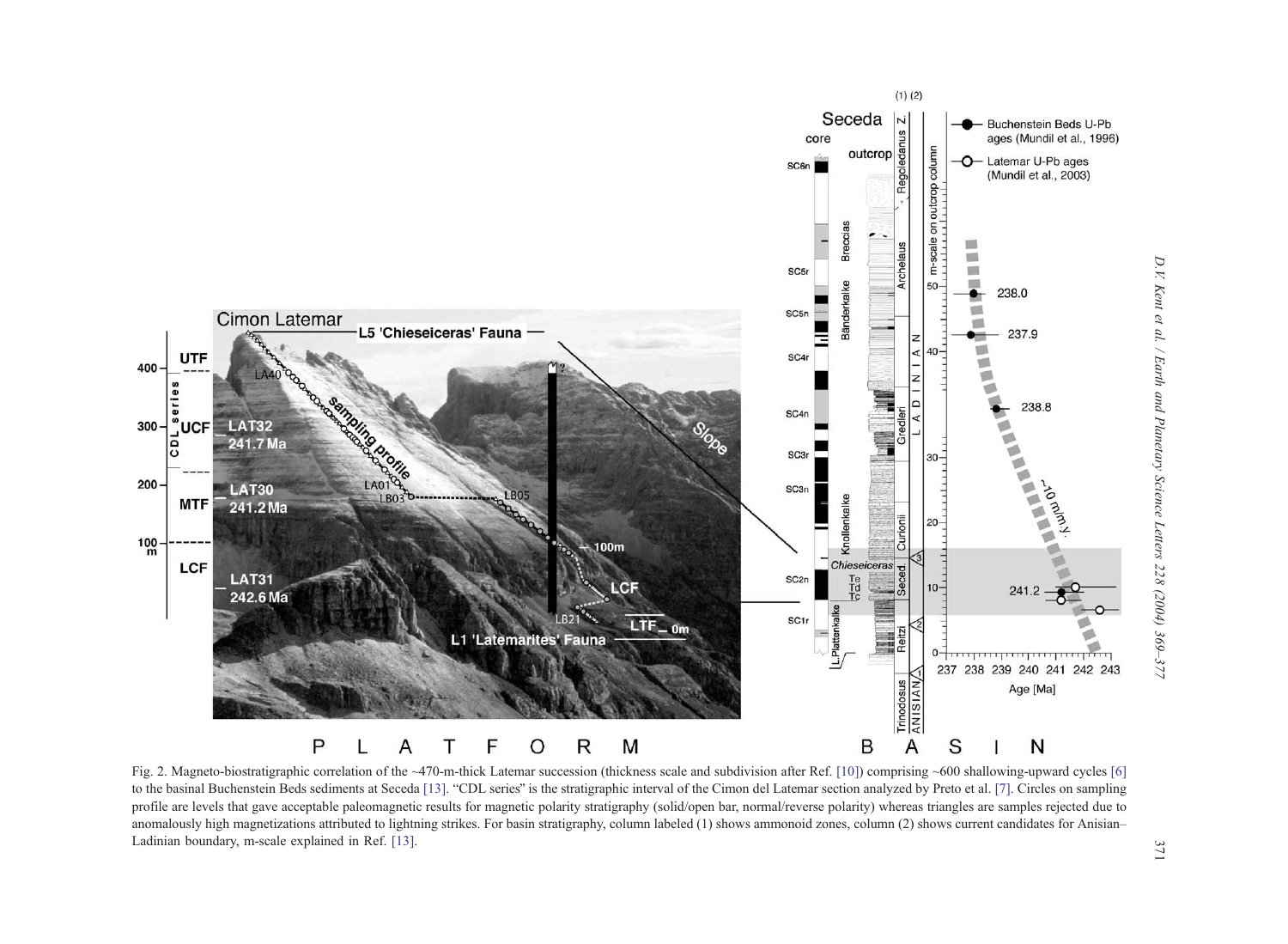<span id="page-2-0"></span>

Fig. 2. Magneto-biostratigraphic correlation of the ~470-m-thick Latemar succession (thickness scale and subdivision after Ref. [\[10\]](#page-7-0)) comprising ~600 shallowing-upward cycles [\[6\]](#page-7-0) to the basinal Buchenstein Beds sediments at Seceda [\[13\]](#page-7-0). "CDL series" is the stratigraphic interval of the Cimon del Latemar section analyzed by Preto et al. [\[7\]](#page-7-0). Circles on sampling profile are levels that gave acceptable paleomagnetic results for magnetic polarity stratigraphy (solid/open bar, normal/reverse polarity) whereas triangles are samples rejected due to anomalously high magnetizations attributed to lightning strikes. For basin stratigraphy, column labeled (1) shows ammonoid zones, column (2) shows current candidates for Anisian– Ladinian boundary, m-scale explained in Ref. [\[13\]](#page-7-0).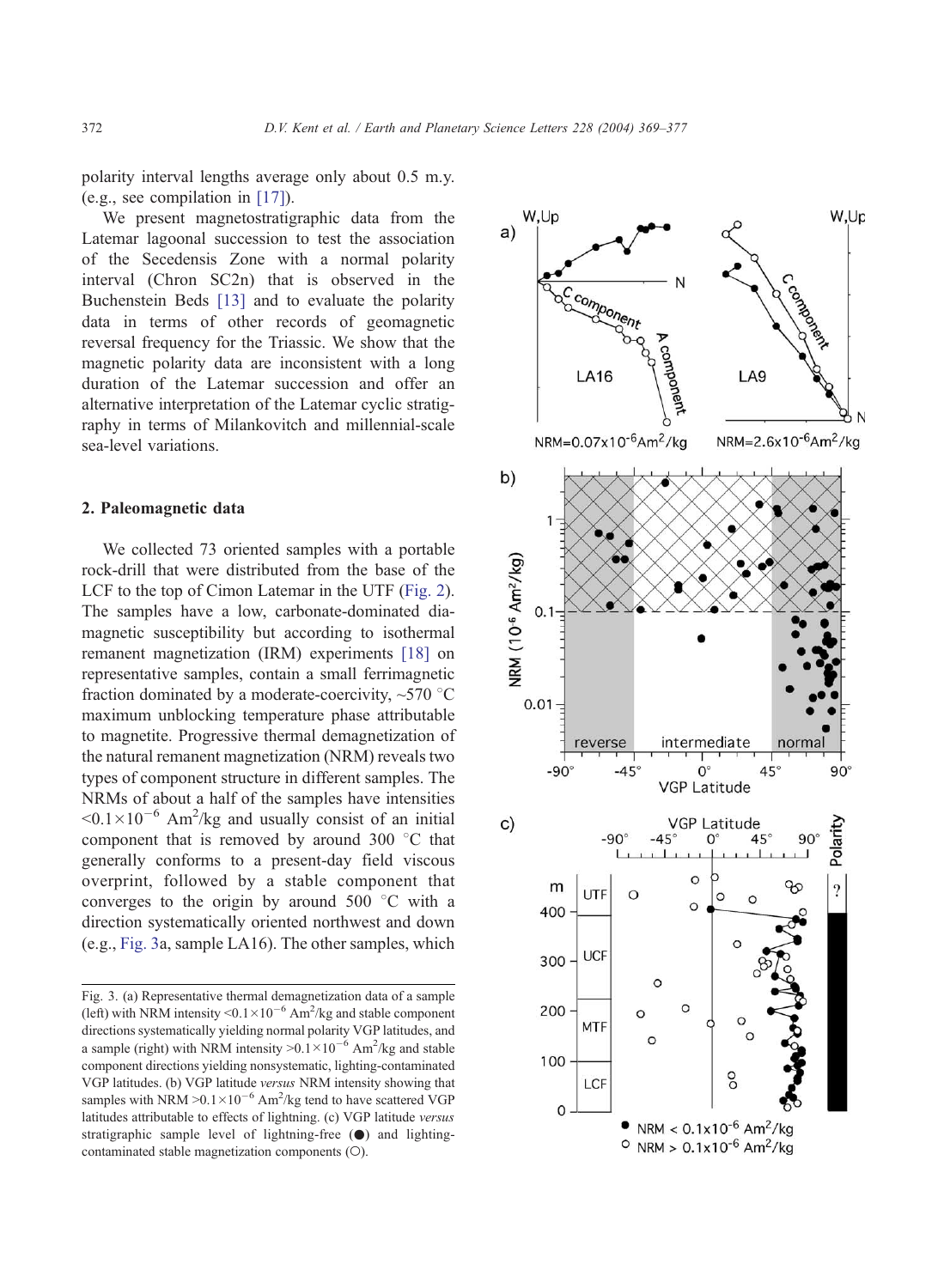<span id="page-3-0"></span>polarity interval lengths average only about 0.5 m.y. (e.g., see compilation in [\[17\]\)](#page-8-0).

We present magnetostratigraphic data from the Latemar lagoonal succession to test the association of the Secedensis Zone with a normal polarity interval (Chron SC2n) that is observed in the Buchenstein Beds [\[13\]](#page-7-0) and to evaluate the polarity data in terms of other records of geomagnetic reversal frequency for the Triassic. We show that the magnetic polarity data are inconsistent with a long duration of the Latemar succession and offer an alternative interpretation of the Latemar cyclic stratigraphy in terms of Milankovitch and millennial-scale sea-level variations.

## 2. Paleomagnetic data

We collected 73 oriented samples with a portable rock-drill that were distributed from the base of the LCF to the top of Cimon Latemar in the UTF ([Fig. 2\)](#page-2-0). The samples have a low, carbonate-dominated diamagnetic susceptibility but according to isothermal remanent magnetization (IRM) experiments [\[18\]](#page-8-0) on representative samples, contain a small ferrimagnetic fraction dominated by a moderate-coercivity,  $\sim$ 570 °C maximum unblocking temperature phase attributable to magnetite. Progressive thermal demagnetization of the natural remanent magnetization (NRM) reveals two types of component structure in different samples. The NRMs of about a half of the samples have intensities  $0.1 \times 10^{-6}$  Am<sup>2</sup>/kg and usually consist of an initial component that is removed by around  $300\degree\text{C}$  that generally conforms to a present-day field viscous overprint, followed by a stable component that converges to the origin by around  $500\degree\text{C}$  with a direction systematically oriented northwest and down (e.g., Fig. 3a, sample LA16). The other samples, which

Fig. 3. (a) Representative thermal demagnetization data of a sample (left) with NRM intensity  $\le 0.1 \times 10^{-6}$  Am<sup>2</sup>/kg and stable component directions systematically yielding normal polarity VGP latitudes, and a sample (right) with NRM intensity  $> 0.1 \times 10^{-6}$  Am<sup>2</sup>/kg and stable component directions yielding nonsystematic, lighting-contaminated VGP latitudes. (b) VGP latitude versus NRM intensity showing that samples with NRM  $> 0.1 \times 10^{-6}$  Am<sup>2</sup>/kg tend to have scattered VGP latitudes attributable to effects of lightning. (c) VGP latitude versus stratigraphic sample level of lightning-free  $(\bullet)$  and lightingcontaminated stable magnetization components  $(O)$ .

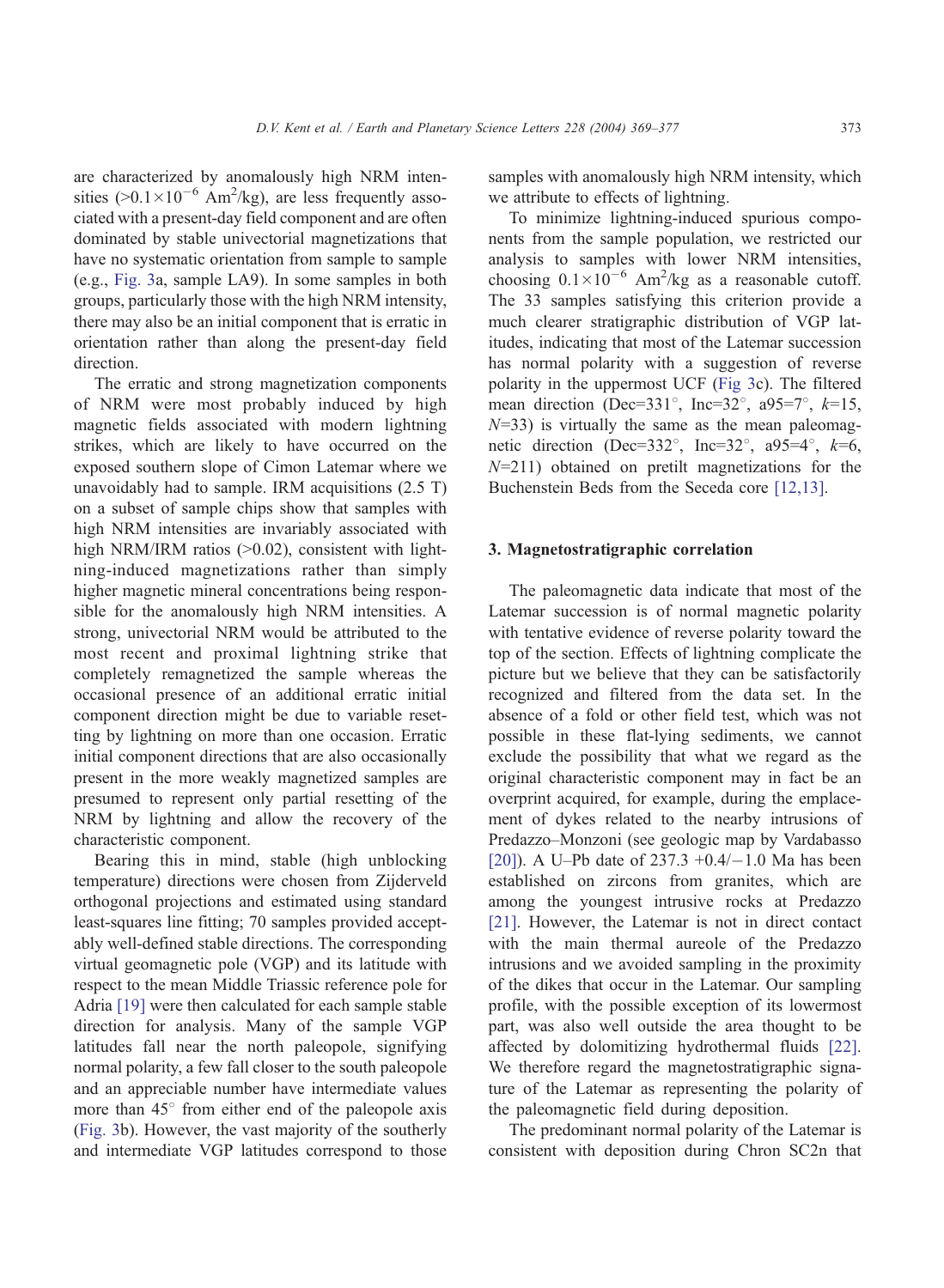are characterized by anomalously high NRM intensities ( $>0.1 \times 10^{-6}$  Am<sup>2</sup>/kg), are less frequently associated with a present-day field component and are often dominated by stable univectorial magnetizations that have no systematic orientation from sample to sample (e.g., [Fig. 3a](#page-3-0), sample LA9). In some samples in both groups, particularly those with the high NRM intensity, there may also be an initial component that is erratic in orientation rather than along the present-day field direction.

The erratic and strong magnetization components of NRM were most probably induced by high magnetic fields associated with modern lightning strikes, which are likely to have occurred on the exposed southern slope of Cimon Latemar where we unavoidably had to sample. IRM acquisitions (2.5 T) on a subset of sample chips show that samples with high NRM intensities are invariably associated with high NRM/IRM ratios  $(>0.02)$ , consistent with lightning-induced magnetizations rather than simply higher magnetic mineral concentrations being responsible for the anomalously high NRM intensities. A strong, univectorial NRM would be attributed to the most recent and proximal lightning strike that completely remagnetized the sample whereas the occasional presence of an additional erratic initial component direction might be due to variable resetting by lightning on more than one occasion. Erratic initial component directions that are also occasionally present in the more weakly magnetized samples are presumed to represent only partial resetting of the NRM by lightning and allow the recovery of the characteristic component.

Bearing this in mind, stable (high unblocking temperature) directions were chosen from Zijderveld orthogonal projections and estimated using standard least-squares line fitting; 70 samples provided acceptably well-defined stable directions. The corresponding virtual geomagnetic pole (VGP) and its latitude with respect to the mean Middle Triassic reference pole for Adria [\[19\]](#page-8-0) were then calculated for each sample stable direction for analysis. Many of the sample VGP latitudes fall near the north paleopole, signifying normal polarity, a few fall closer to the south paleopole and an appreciable number have intermediate values more than  $45^\circ$  from either end of the paleopole axis ([Fig. 3b](#page-3-0)). However, the vast majority of the southerly and intermediate VGP latitudes correspond to those samples with anomalously high NRM intensity, which we attribute to effects of lightning.

To minimize lightning-induced spurious components from the sample population, we restricted our analysis to samples with lower NRM intensities, choosing  $0.1 \times 10^{-6}$  Am<sup>2</sup>/kg as a reasonable cutoff. The 33 samples satisfying this criterion provide a much clearer stratigraphic distribution of VGP latitudes, indicating that most of the Latemar succession has normal polarity with a suggestion of reverse polarity in the uppermost UCF ([Fig 3c](#page-3-0)). The filtered mean direction (Dec=331 $^{\circ}$ , Inc=32 $^{\circ}$ , a95=7 $^{\circ}$ , k=15,  $N=33$ ) is virtually the same as the mean paleomagnetic direction (Dec=332 $^{\circ}$ , Inc=32 $^{\circ}$ , a95=4 $^{\circ}$ , k=6,  $N=211$ ) obtained on pretilt magnetizations for the Buchenstein Beds from the Seceda core [\[12,13\].](#page-7-0)

# 3. Magnetostratigraphic correlation

The paleomagnetic data indicate that most of the Latemar succession is of normal magnetic polarity with tentative evidence of reverse polarity toward the top of the section. Effects of lightning complicate the picture but we believe that they can be satisfactorily recognized and filtered from the data set. In the absence of a fold or other field test, which was not possible in these flat-lying sediments, we cannot exclude the possibility that what we regard as the original characteristic component may in fact be an overprint acquired, for example, during the emplacement of dykes related to the nearby intrusions of Predazzo–Monzoni (see geologic map by Vardabasso [\[20\]\)](#page-8-0). A U–Pb date of  $237.3 +0.4/-1.0$  Ma has been established on zircons from granites, which are among the youngest intrusive rocks at Predazzo [\[21\].](#page-8-0) However, the Latemar is not in direct contact with the main thermal aureole of the Predazzo intrusions and we avoided sampling in the proximity of the dikes that occur in the Latemar. Our sampling profile, with the possible exception of its lowermost part, was also well outside the area thought to be affected by dolomitizing hydrothermal fluids [\[22\].](#page-8-0) We therefore regard the magnetostratigraphic signature of the Latemar as representing the polarity of the paleomagnetic field during deposition.

The predominant normal polarity of the Latemar is consistent with deposition during Chron SC2n that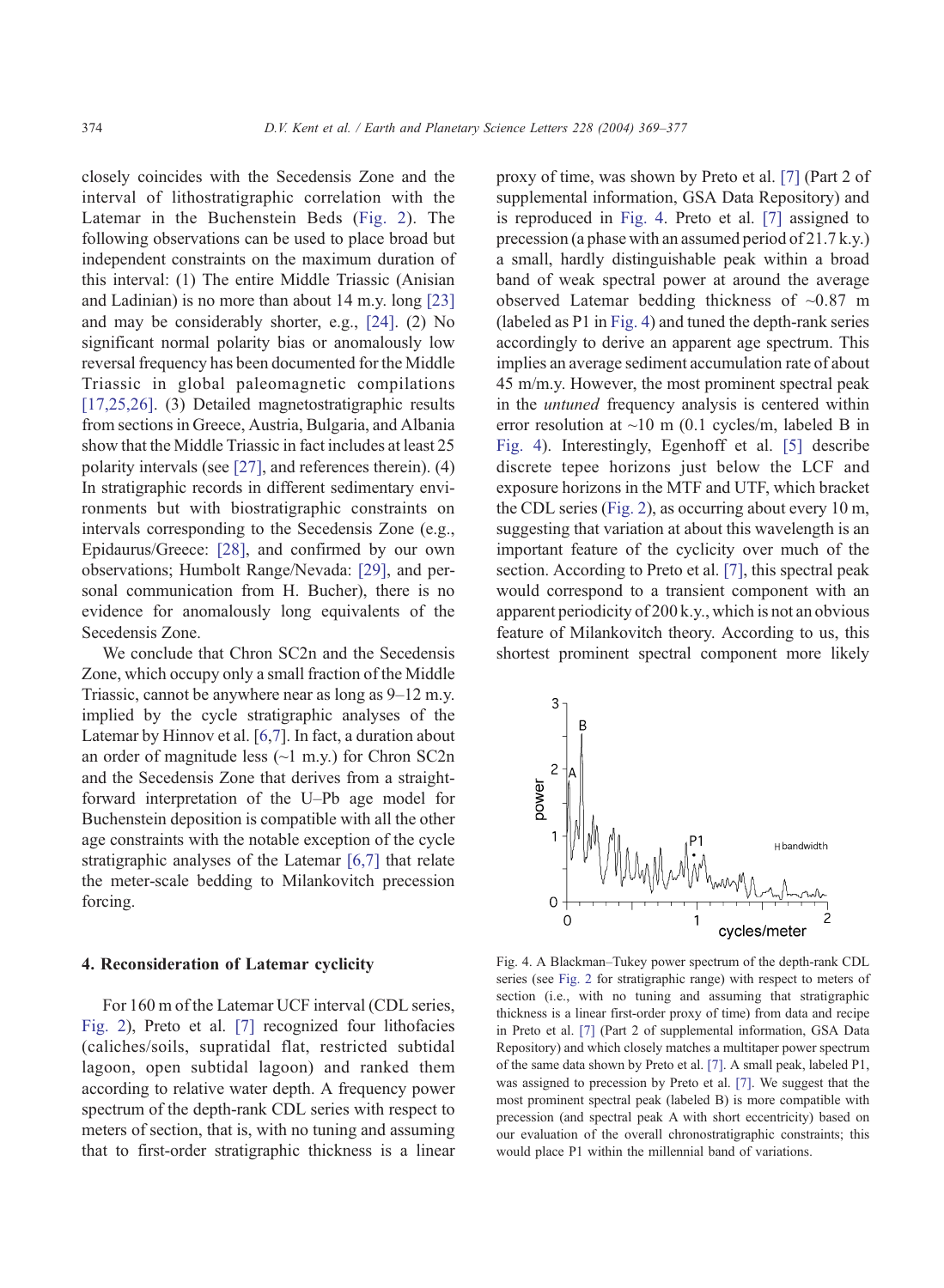<span id="page-5-0"></span>closely coincides with the Secedensis Zone and the interval of lithostratigraphic correlation with the Latemar in the Buchenstein Beds ([Fig. 2\)](#page-2-0). The following observations can be used to place broad but independent constraints on the maximum duration of this interval: (1) The entire Middle Triassic (Anisian and Ladinian) is no more than about 14 m.y. long [\[23\]](#page-8-0) and may be considerably shorter, e.g., [\[24\].](#page-8-0) (2) No significant normal polarity bias or anomalously low reversal frequency has been documented for the Middle Triassic in global paleomagnetic compilations [\[17,25,26\].](#page-8-0) (3) Detailed magnetostratigraphic results from sections in Greece, Austria, Bulgaria, and Albania show that the Middle Triassic in fact includes at least 25 polarity intervals (see [\[27\],](#page-8-0) and references therein). (4) In stratigraphic records in different sedimentary environments but with biostratigraphic constraints on intervals corresponding to the Secedensis Zone (e.g., Epidaurus/Greece: [\[28\],](#page-8-0) and confirmed by our own observations; Humbolt Range/Nevada: [\[29\],](#page-8-0) and personal communication from H. Bucher), there is no evidence for anomalously long equivalents of the Secedensis Zone.

We conclude that Chron SC2n and the Secedensis Zone, which occupy only a small fraction of the Middle Triassic, cannot be anywhere near as long as 9–12 m.y. implied by the cycle stratigraphic analyses of the Latemar by Hinnov et al. [[6,7\]](#page-7-0). In fact, a duration about an order of magnitude less  $(\sim 1 \text{ m.y.})$  for Chron SC2n and the Secedensis Zone that derives from a straightforward interpretation of the U–Pb age model for Buchenstein deposition is compatible with all the other age constraints with the notable exception of the cycle stratigraphic analyses of the Latemar [\[6,7\]](#page-7-0) that relate the meter-scale bedding to Milankovitch precession forcing.

### 4. Reconsideration of Latemar cyclicity

For 160 m of the Latemar UCF interval (CDL series, [Fig. 2\)](#page-2-0), Preto et al. [\[7\]](#page-7-0) recognized four lithofacies (caliches/soils, supratidal flat, restricted subtidal lagoon, open subtidal lagoon) and ranked them according to relative water depth. A frequency power spectrum of the depth-rank CDL series with respect to meters of section, that is, with no tuning and assuming that to first-order stratigraphic thickness is a linear proxy of time, was shown by Preto et al. [\[7\]](#page-7-0) (Part 2 of supplemental information, GSA Data Repository) and is reproduced in Fig. 4. Preto et al. [\[7\]](#page-7-0) assigned to precession (a phase with an assumed period of 21.7 k.y.) a small, hardly distinguishable peak within a broad band of weak spectral power at around the average observed Latemar bedding thickness of ~0.87 m (labeled as P1 in Fig. 4) and tuned the depth-rank series accordingly to derive an apparent age spectrum. This implies an average sediment accumulation rate of about 45 m/m.y. However, the most prominent spectral peak in the untuned frequency analysis is centered within error resolution at  $\sim$ 10 m (0.1 cycles/m, labeled B in Fig. 4). Interestingly, Egenhoff et al. [\[5\]](#page-7-0) describe discrete tepee horizons just below the LCF and exposure horizons in the MTF and UTF, which bracket the CDL series ([Fig. 2\)](#page-2-0), as occurring about every 10 m, suggesting that variation at about this wavelength is an important feature of the cyclicity over much of the section. According to Preto et al. [\[7\],](#page-7-0) this spectral peak would correspond to a transient component with an apparent periodicity of 200 k.y., which is not an obvious feature of Milankovitch theory. According to us, this shortest prominent spectral component more likely



Fig. 4. A Blackman–Tukey power spectrum of the depth-rank CDL series (see [Fig. 2](#page-2-0) for stratigraphic range) with respect to meters of section (i.e., with no tuning and assuming that stratigraphic thickness is a linear first-order proxy of time) from data and recipe in Preto et al. [\[7\]](#page-7-0) (Part 2 of supplemental information, GSA Data Repository) and which closely matches a multitaper power spectrum of the same data shown by Preto et al. [\[7\].](#page-7-0) A small peak, labeled P1, was assigned to precession by Preto et al. [\[7\].](#page-7-0) We suggest that the most prominent spectral peak (labeled B) is more compatible with precession (and spectral peak A with short eccentricity) based on our evaluation of the overall chronostratigraphic constraints; this would place P1 within the millennial band of variations.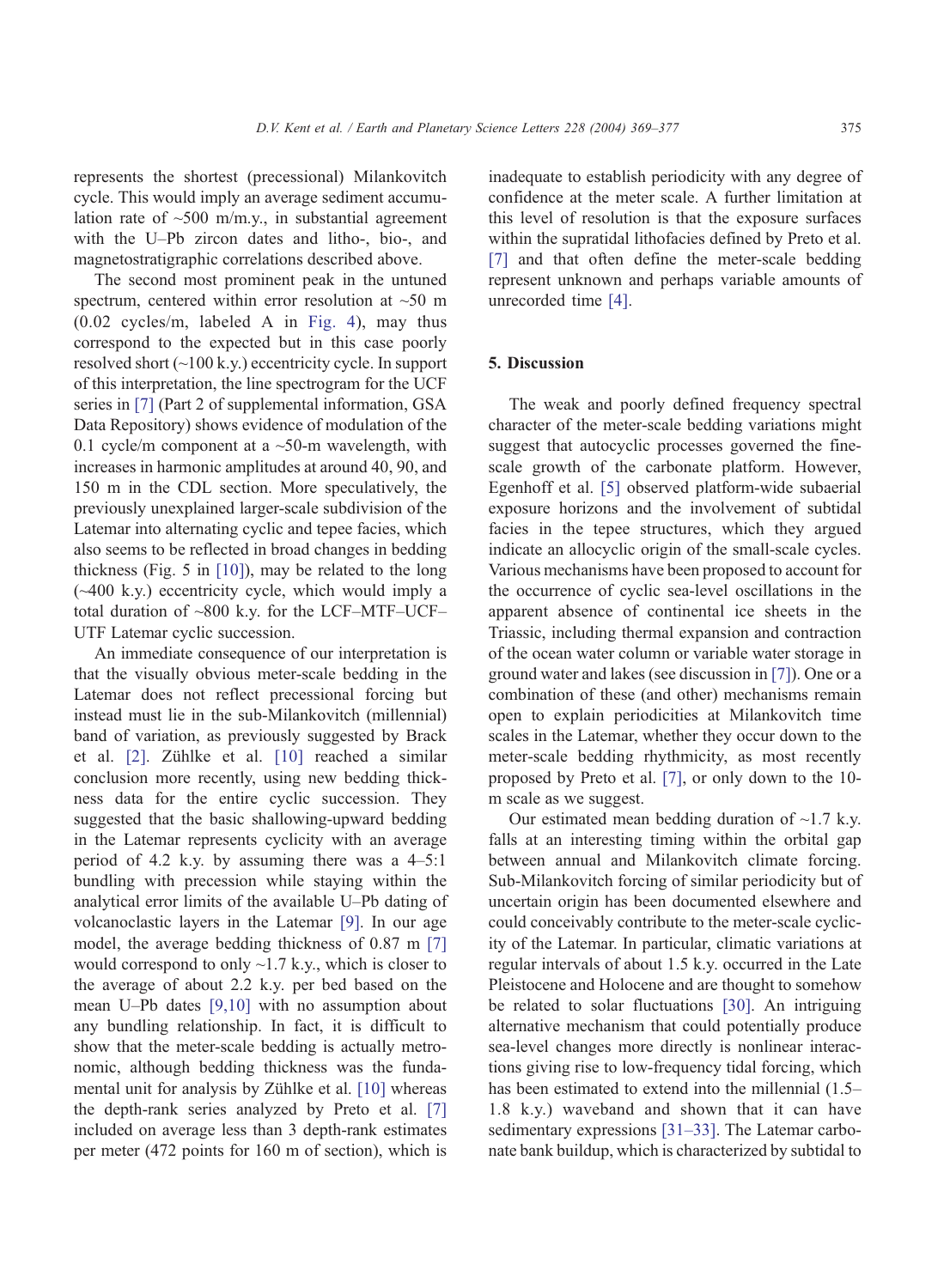represents the shortest (precessional) Milankovitch cycle. This would imply an average sediment accumulation rate of  $\sim$ 500 m/m.y., in substantial agreement with the U–Pb zircon dates and litho-, bio-, and magnetostratigraphic correlations described above.

The second most prominent peak in the untuned spectrum, centered within error resolution at ~50 m (0.02 cycles/m, labeled A in [Fig. 4\)](#page-5-0), may thus correspond to the expected but in this case poorly resolved short (~100 k.y.) eccentricity cycle. In support of this interpretation, the line spectrogram for the UCF series in [\[7\]](#page-7-0) (Part 2 of supplemental information, GSA Data Repository) shows evidence of modulation of the 0.1 cycle/m component at a  $\sim$ 50-m wavelength, with increases in harmonic amplitudes at around 40, 90, and 150 m in the CDL section. More speculatively, the previously unexplained larger-scale subdivision of the Latemar into alternating cyclic and tepee facies, which also seems to be reflected in broad changes in bedding thickness (Fig. 5 in [\[10\]\)](#page-7-0), may be related to the long (~400 k.y.) eccentricity cycle, which would imply a total duration of ~800 k.y. for the LCF–MTF–UCF– UTF Latemar cyclic succession.

An immediate consequence of our interpretation is that the visually obvious meter-scale bedding in the Latemar does not reflect precessional forcing but instead must lie in the sub-Milankovitch (millennial) band of variation, as previously suggested by Brack et al. [\[2\]](#page-7-0). Zühlke et al. [\[10\]](#page-7-0) reached a similar conclusion more recently, using new bedding thickness data for the entire cyclic succession. They suggested that the basic shallowing-upward bedding in the Latemar represents cyclicity with an average period of 4.2 k.y. by assuming there was a 4–5:1 bundling with precession while staying within the analytical error limits of the available U–Pb dating of volcanoclastic layers in the Latemar [\[9\].](#page-7-0) In our age model, the average bedding thickness of 0.87 m [\[7\]](#page-7-0) would correspond to only  $\sim$ 1.7 k.y., which is closer to the average of about 2.2 k.y. per bed based on the mean U–Pb dates [\[9,10\]](#page-7-0) with no assumption about any bundling relationship. In fact, it is difficult to show that the meter-scale bedding is actually metronomic, although bedding thickness was the funda-mental unit for analysis by Zühlke et al. [\[10\]](#page-7-0) whereas the depth-rank series analyzed by Preto et al. [\[7\]](#page-7-0) included on average less than 3 depth-rank estimates per meter (472 points for 160 m of section), which is inadequate to establish periodicity with any degree of confidence at the meter scale. A further limitation at this level of resolution is that the exposure surfaces within the supratidal lithofacies defined by Preto et al. [\[7\]](#page-7-0) and that often define the meter-scale bedding represent unknown and perhaps variable amounts of unrecorded time [\[4\].](#page-7-0)

#### 5. Discussion

The weak and poorly defined frequency spectral character of the meter-scale bedding variations might suggest that autocyclic processes governed the finescale growth of the carbonate platform. However, Egenhoff et al. [\[5\]](#page-7-0) observed platform-wide subaerial exposure horizons and the involvement of subtidal facies in the tepee structures, which they argued indicate an allocyclic origin of the small-scale cycles. Various mechanisms have been proposed to account for the occurrence of cyclic sea-level oscillations in the apparent absence of continental ice sheets in the Triassic, including thermal expansion and contraction of the ocean water column or variable water storage in ground water and lakes (see discussion in [\[7\]\)](#page-7-0). One or a combination of these (and other) mechanisms remain open to explain periodicities at Milankovitch time scales in the Latemar, whether they occur down to the meter-scale bedding rhythmicity, as most recently proposed by Preto et al. [\[7\],](#page-7-0) or only down to the 10 m scale as we suggest.

Our estimated mean bedding duration of  $\sim$ 1.7 k.y. falls at an interesting timing within the orbital gap between annual and Milankovitch climate forcing. Sub-Milankovitch forcing of similar periodicity but of uncertain origin has been documented elsewhere and could conceivably contribute to the meter-scale cyclicity of the Latemar. In particular, climatic variations at regular intervals of about 1.5 k.y. occurred in the Late Pleistocene and Holocene and are thought to somehow be related to solar fluctuations [\[30\].](#page-8-0) An intriguing alternative mechanism that could potentially produce sea-level changes more directly is nonlinear interactions giving rise to low-frequency tidal forcing, which has been estimated to extend into the millennial  $(1.5-$ 1.8 k.y.) waveband and shown that it can have sedimentary expressions [\[31–33\].](#page-8-0) The Latemar carbonate bank buildup, which is characterized by subtidal to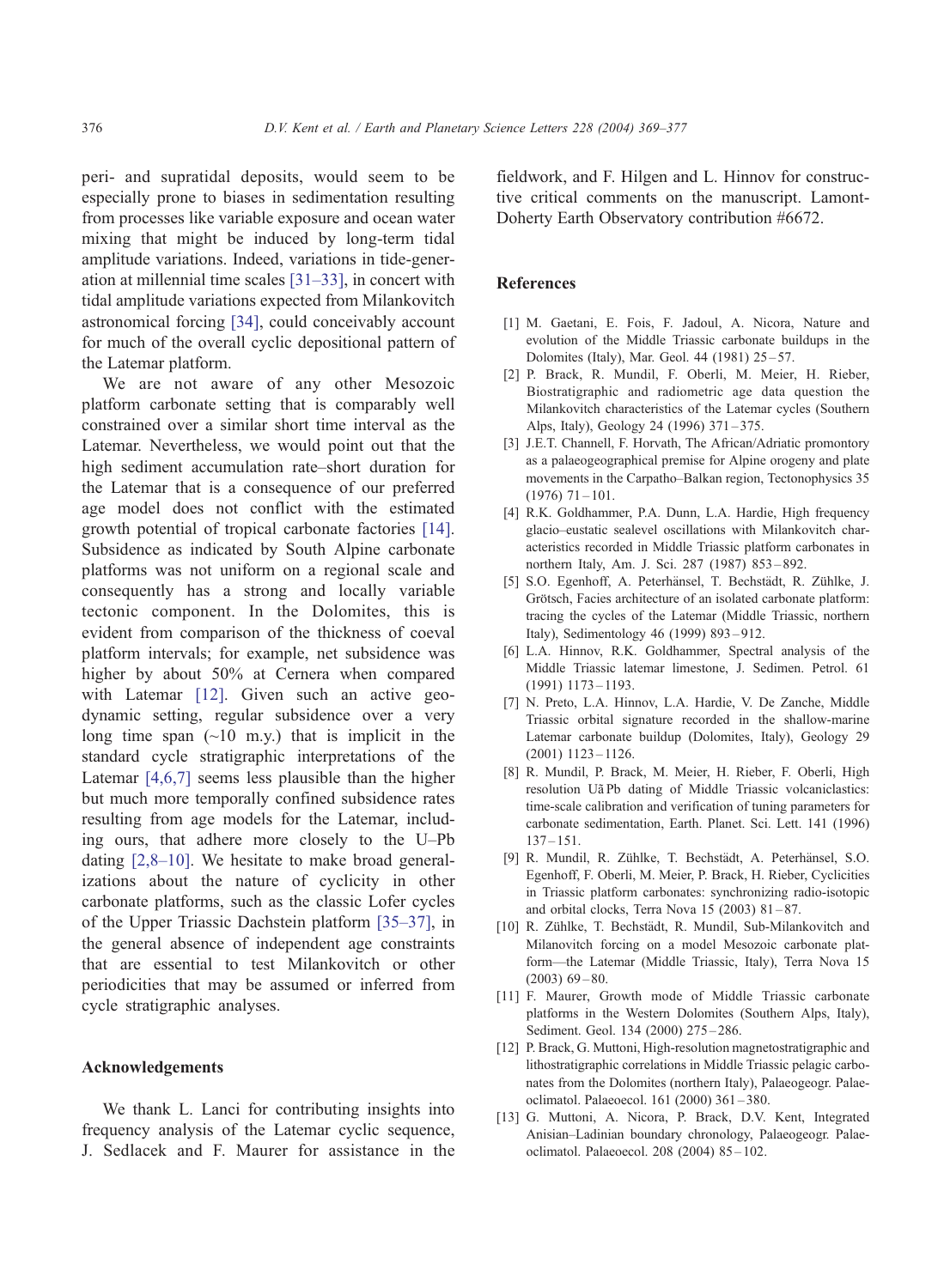<span id="page-7-0"></span>peri- and supratidal deposits, would seem to be especially prone to biases in sedimentation resulting from processes like variable exposure and ocean water mixing that might be induced by long-term tidal amplitude variations. Indeed, variations in tide-generation at millennial time scales [\[31–33\],](#page-8-0) in concert with tidal amplitude variations expected from Milankovitch astronomical forcing [\[34\],](#page-8-0) could conceivably account for much of the overall cyclic depositional pattern of the Latemar platform.

We are not aware of any other Mesozoic platform carbonate setting that is comparably well constrained over a similar short time interval as the Latemar. Nevertheless, we would point out that the high sediment accumulation rate–short duration for the Latemar that is a consequence of our preferred age model does not conflict with the estimated growth potential of tropical carbonate factories [\[14\].](#page-8-0) Subsidence as indicated by South Alpine carbonate platforms was not uniform on a regional scale and consequently has a strong and locally variable tectonic component. In the Dolomites, this is evident from comparison of the thickness of coeval platform intervals; for example, net subsidence was higher by about 50% at Cernera when compared with Latemar [12]. Given such an active geodynamic setting, regular subsidence over a very long time span  $(\sim 10 \text{ m} \cdot \text{y})$  that is implicit in the standard cycle stratigraphic interpretations of the Latemar [4,6,7] seems less plausible than the higher but much more temporally confined subsidence rates resulting from age models for the Latemar, including ours, that adhere more closely to the U–Pb dating [2,8–10]. We hesitate to make broad generalizations about the nature of cyclicity in other carbonate platforms, such as the classic Lofer cycles of the Upper Triassic Dachstein platform [\[35–37\],](#page-8-0) in the general absence of independent age constraints that are essential to test Milankovitch or other periodicities that may be assumed or inferred from cycle stratigraphic analyses.

#### Acknowledgements

We thank L. Lanci for contributing insights into frequency analysis of the Latemar cyclic sequence, J. Sedlacek and F. Maurer for assistance in the fieldwork, and F. Hilgen and L. Hinnov for constructive critical comments on the manuscript. Lamont-Doherty Earth Observatory contribution #6672.

# References

- [1] M. Gaetani, E. Fois, F. Jadoul, A. Nicora, Nature and evolution of the Middle Triassic carbonate buildups in the Dolomites (Italy), Mar. Geol. 44 (1981) 25 – 57.
- [2] P. Brack, R. Mundil, F. Oberli, M. Meier, H. Rieber, Biostratigraphic and radiometric age data question the Milankovitch characteristics of the Latemar cycles (Southern Alps, Italy), Geology 24 (1996) 371 – 375.
- [3] J.E.T. Channell, F. Horvath, The African/Adriatic promontory as a palaeogeographical premise for Alpine orogeny and plate movements in the Carpatho–Balkan region, Tectonophysics 35  $(1976)$  71 – 101.
- [4] R.K. Goldhammer, P.A. Dunn, L.A. Hardie, High frequency glacio–eustatic sealevel oscillations with Milankovitch characteristics recorded in Middle Triassic platform carbonates in northern Italy, Am. J. Sci. 287 (1987) 853 – 892.
- [5] S.O. Egenhoff, A. Peterhänsel, T. Bechstädt, R. Zühlke, J. Grötsch, Facies architecture of an isolated carbonate platform: tracing the cycles of the Latemar (Middle Triassic, northern Italy), Sedimentology 46 (1999) 893 – 912.
- [6] L.A. Hinnov, R.K. Goldhammer, Spectral analysis of the Middle Triassic latemar limestone, J. Sedimen. Petrol. 61 (1991) 1173 – 1193.
- [7] N. Preto, L.A. Hinnov, L.A. Hardie, V. De Zanche, Middle Triassic orbital signature recorded in the shallow-marine Latemar carbonate buildup (Dolomites, Italy), Geology 29 (2001) 1123 – 1126.
- [8] R. Mundil, P. Brack, M. Meier, H. Rieber, F. Oberli, High resolution Ua<sup>Pb</sup> dating of Middle Triassic volcaniclastics: time-scale calibration and verification of tuning parameters for carbonate sedimentation, Earth. Planet. Sci. Lett. 141 (1996)  $137 - 151$
- [9] R. Mundil, R. Zühlke, T. Bechstädt, A. Peterhänsel, S.O. Egenhoff, F. Oberli, M. Meier, P. Brack, H. Rieber, Cyclicities in Triassic platform carbonates: synchronizing radio-isotopic and orbital clocks, Terra Nova  $15$  (2003)  $81-87$ .
- [10] R. Zühlke, T. Bechstädt, R. Mundil, Sub-Milankovitch and Milanovitch forcing on a model Mesozoic carbonate platform—the Latemar (Middle Triassic, Italy), Terra Nova 15  $(2003)$  69 – 80.
- [11] F. Maurer, Growth mode of Middle Triassic carbonate platforms in the Western Dolomites (Southern Alps, Italy), Sediment. Geol. 134 (2000) 275-286.
- [12] P. Brack, G. Muttoni, High-resolution magnetostratigraphic and lithostratigraphic correlations in Middle Triassic pelagic carbonates from the Dolomites (northern Italy), Palaeogeogr. Palaeoclimatol. Palaeoecol. 161 (2000) 361 – 380.
- [13] G. Muttoni, A. Nicora, P. Brack, D.V. Kent, Integrated Anisian–Ladinian boundary chronology, Palaeogeogr. Palaeoclimatol. Palaeoecol. 208 (2004) 85 – 102.